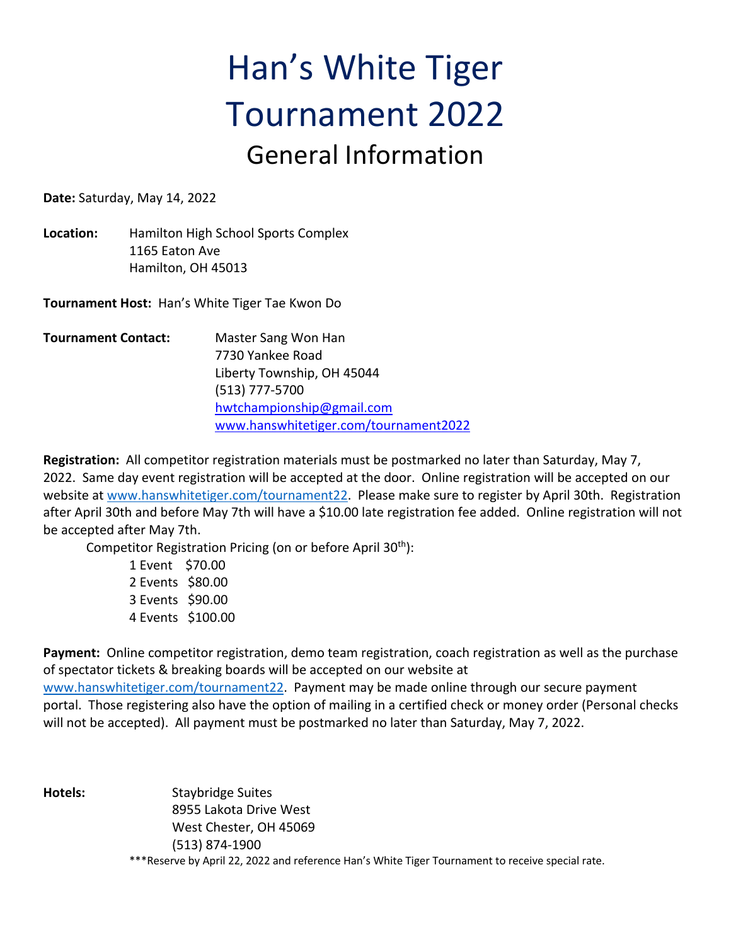## Han's White Tiger Tournament 2022 General Information

**Date:** Saturday, May 14, 2022

**Location:** Hamilton High School Sports Complex 1165 Eaton Ave Hamilton, OH 45013

**Tournament Host:** Han's White Tiger Tae Kwon Do

**Tournament Contact:** Master Sang Won Han 7730 Yankee Road Liberty Township, OH 45044 (513) 777-5700 hwtchampionship@gmail.com www.hanswhitetiger.com/tournament2022

**Registration:** All competitor registration materials must be postmarked no later than Saturday, May 7, 2022. Same day event registration will be accepted at the door. Online registration will be accepted on our website at www.hanswhitetiger.com/tournament22. Please make sure to register by April 30th. Registration after April 30th and before May 7th will have a \$10.00 late registration fee added. Online registration will not be accepted after May 7th.

Competitor Registration Pricing (on or before April 30<sup>th</sup>):

1 Event \$70.00 2 Events \$80.00 3 Events \$90.00 4 Events \$100.00

**Payment:** Online competitor registration, demo team registration, coach registration as well as the purchase of spectator tickets & breaking boards will be accepted on our website at www.hanswhitetiger.com/tournament22. Payment may be made online through our secure payment portal. Those registering also have the option of mailing in a certified check or money order (Personal checks will not be accepted). All payment must be postmarked no later than Saturday, May 7, 2022.

**Hotels:** Staybridge Suites 8955 Lakota Drive West West Chester, OH 45069 (513) 874-1900 \*\*\*Reserve by April 22, 2022 and reference Han's White Tiger Tournament to receive special rate.